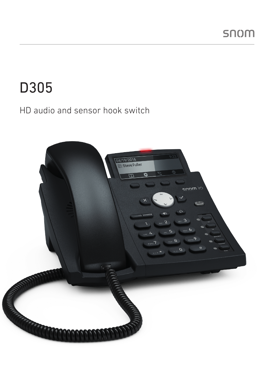# D305

### HD audio and sensor hook switch

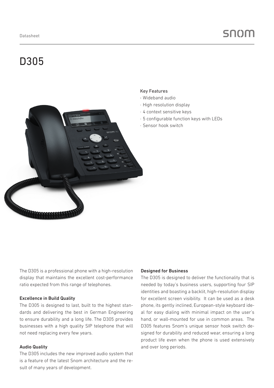## D305

#### Key Features

- · Wideband audio
- · High resolution display
- · 4 context sensitive keys
- · 5 configurable function keys with LEDs
- · Sensor hook switch

The D305 is a professional phone with a high-resolution display that maintains the excellent cost-performance ratio expected from this range of telephones.

#### Excellence in Build Quality

The D305 is designed to last, built to the highest standards and delivering the best in German Engineering to ensure durability and a long life. The D305 provides businesses with a high quality SIP telephone that will not need replacing every few years.

#### Audio Quality

The D305 includes the new improved audio system that is a feature of the latest Snom architecture and the result of many years of development.

#### Designed for Business

The D305 is designed to deliver the functionality that is needed by today's business users, supporting four SIP identities and boasting a backlit, high-resolution display for excellent screen visibility. It can be used as a desk phone, its gently inclined, European-style keyboard ideal for easy dialing with minimal impact on the user's hand, or wall-mounted for use in common areas. The D305 features Snom's unique sensor hook switch designed for durability and reduced wear, ensuring a long product life even when the phone is used extensively and over long periods.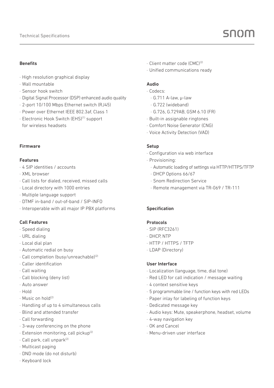#### Benefits

- · High resolution graphical display
- · Wall mountable
- · Sensor hook switch
- · Digital Signal Processor (DSP) enhanced audio quality
- · 2-port 10/100 Mbps Ethernet switch (RJ45)
- · Power over Ethernet IEEE 802.3af, Class 1
- · Electronic Hook Switch (EHS)(1) support for wireless headsets

#### Firmware

#### Features

- · 4 SIP identities / accounts
- · XML browser
- · Call lists for dialed, received, missed calls
- · Local directory with 1000 entries
- · Multiple language support
- · DTMF in-band / out-of-band / SIP-INFO
- · Interoperable with all major IP PBX platforms

#### Call Features

- · Speed dialing
- · URL dialing
- · Local dial plan
- · Automatic redial on busy
- · Call completion (busy/unreachable)(2)
- · Caller identification
- · Call waiting
- · Call blocking (deny list)
- · Auto answer
- · Hold
- $\cdot$  Music on hold<sup>(2)</sup>
- · Handling of up to 4 simultaneous calls
- · Blind and attended transfer
- · Call forwarding
- · 3-way conferencing on the phone
- · Extension monitoring, call pickup(2)
- · Call park, call unpark(2)
- · Multicast paging
- · DND mode (do not disturb)
- · Keyboard lock
- · Client matter code (CMC)(2)
- · Unified communications ready

#### Audio

- · Codecs:
	- · G.711 A-law, µ-law
	- · G.722 (wideband)
	- · G.726, G.729AB, GSM 6.10 (FR)
- · Built-in assignable ringtones
- · Comfort Noise Generator (CNG)
- · Voice Activity Detection (VAD)

#### **Setup**

- · Configuration via web interface
- · Provisioning:
	- · Automatic loading of settings via HTTP/HTTPS/TFTP
	- · DHCP Options 66/67
	- · Snom Redirection Service
	- · Remote management via TR-069 / TR-111

#### Specification

#### Protocols

- · SIP (RFC3261)
- · DHCP, NTP
- · HTTP / HTTPS / TFTP
- · LDAP (Directory)

#### User Interface

- · Localization (language, time, dial tone)
- · Red LED for call indication / message waiting
- · 4 context sensitive keys
- · 5 programmable line / function keys with red LEDs
- · Paper inlay for labeling of function keys
- · Dedicated message key
- · Audio keys: Mute, speakerphone, headset, volume
- · 4-way navigation key
- · OK and Cancel
- · Menu-driven user interface